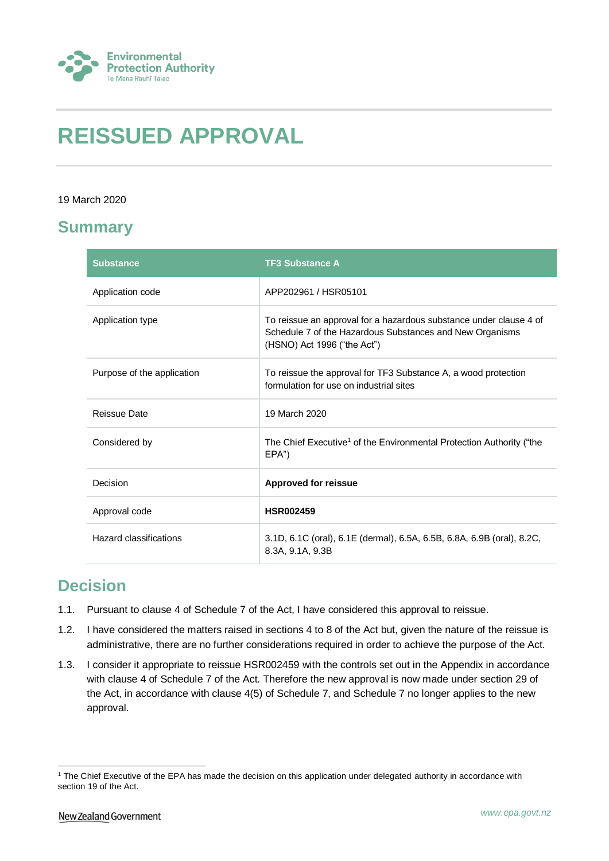

# **REISSUED APPROVAL**

### 19 March 2020

### **Summary**

| <b>Substance</b>           | <b>TF3 Substance A</b>                                                                                                                                        |
|----------------------------|---------------------------------------------------------------------------------------------------------------------------------------------------------------|
| Application code           | APP202961 / HSR05101                                                                                                                                          |
| Application type           | To reissue an approval for a hazardous substance under clause 4 of<br>Schedule 7 of the Hazardous Substances and New Organisms<br>(HSNO) Act 1996 ("the Act") |
| Purpose of the application | To reissue the approval for TF3 Substance A, a wood protection<br>formulation for use on industrial sites                                                     |
| Reissue Date               | 19 March 2020                                                                                                                                                 |
| Considered by              | The Chief Executive <sup>1</sup> of the Environmental Protection Authority ("the<br>EPA")                                                                     |
| Decision                   | <b>Approved for reissue</b>                                                                                                                                   |
| Approval code              | <b>HSR002459</b>                                                                                                                                              |
| Hazard classifications     | 3.1D, 6.1C (oral), 6.1E (dermal), 6.5A, 6.5B, 6.8A, 6.9B (oral), 8.2C,<br>8.3A, 9.1A, 9.3B                                                                    |

## **Decision**

- 1.1. Pursuant to clause 4 of Schedule 7 of the Act, I have considered this approval to reissue.
- 1.2. I have considered the matters raised in sections 4 to 8 of the Act but, given the nature of the reissue is administrative, there are no further considerations required in order to achieve the purpose of the Act.
- 1.3. I consider it appropriate to reissue HSR002459 with the controls set out in the Appendix in accordance with clause 4 of Schedule 7 of the Act. Therefore the new approval is now made under section 29 of the Act, in accordance with clause 4(5) of Schedule 7, and Schedule 7 no longer applies to the new approval.

<sup>1</sup> <sup>1</sup> The Chief Executive of the EPA has made the decision on this application under delegated authority in accordance with section 19 of the Act.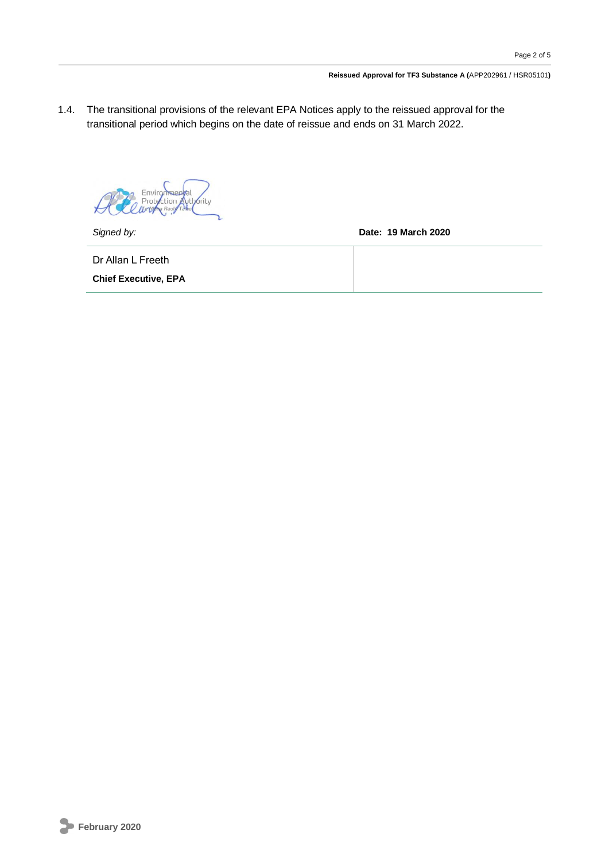1.4. The transitional provisions of the relevant EPA Notices apply to the reissued approval for the transitional period which begins on the date of reissue and ends on 31 March 2022.

**Wthority** ction

*Signed by:* **Date: 19 March 2020**

Dr Allan L Freeth

**Chief Executive, EPA**

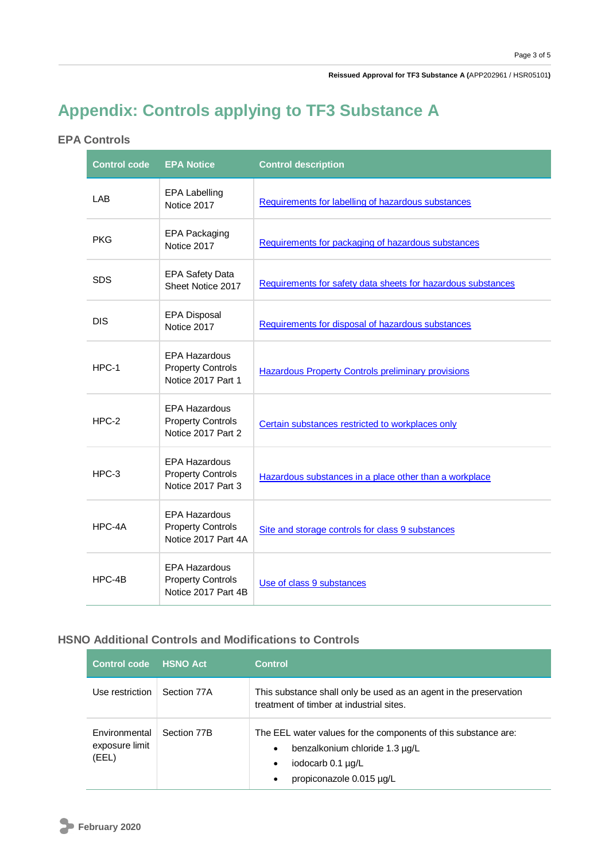**Reissued Approval for TF3 Substance A (**APP202961 / HSR05101**)**

## **Appendix: Controls applying to TF3 Substance A**

### **EPA Controls**

| <b>Control code</b> | <b>EPA Notice</b>                                                       | <b>Control description</b>                                   |
|---------------------|-------------------------------------------------------------------------|--------------------------------------------------------------|
| LAB                 | <b>EPA Labelling</b><br>Notice 2017                                     | Requirements for labelling of hazardous substances           |
| <b>PKG</b>          | <b>EPA Packaging</b><br>Notice 2017                                     | Requirements for packaging of hazardous substances           |
| <b>SDS</b>          | <b>EPA Safety Data</b><br>Sheet Notice 2017                             | Requirements for safety data sheets for hazardous substances |
| <b>DIS</b>          | <b>EPA Disposal</b><br>Notice 2017                                      | Requirements for disposal of hazardous substances            |
| $HPC-1$             | <b>EPA Hazardous</b><br><b>Property Controls</b><br>Notice 2017 Part 1  | <b>Hazardous Property Controls preliminary provisions</b>    |
| $HPC-2$             | <b>EPA Hazardous</b><br><b>Property Controls</b><br>Notice 2017 Part 2  | Certain substances restricted to workplaces only             |
| $HPC-3$             | <b>EPA Hazardous</b><br><b>Property Controls</b><br>Notice 2017 Part 3  | Hazardous substances in a place other than a workplace       |
| HPC-4A              | <b>EPA Hazardous</b><br><b>Property Controls</b><br>Notice 2017 Part 4A | Site and storage controls for class 9 substances             |
| $HPC-4B$            | <b>EPA Hazardous</b><br><b>Property Controls</b><br>Notice 2017 Part 4B | Use of class 9 substances                                    |

### **HSNO Additional Controls and Modifications to Controls**

| <b>Control code</b>                      | <b>HSNO Act</b> | <b>Control</b>                                                                                                                                                                   |
|------------------------------------------|-----------------|----------------------------------------------------------------------------------------------------------------------------------------------------------------------------------|
| Use restriction.                         | Section 77A     | This substance shall only be used as an agent in the preservation<br>treatment of timber at industrial sites.                                                                    |
| Environmental<br>exposure limit<br>(EEL) | Section 77B     | The EEL water values for the components of this substance are:<br>benzalkonium chloride 1.3 µg/L<br>$\bullet$<br>iodocarb 0.1 µg/L<br>٠<br>propiconazole 0.015 µg/L<br>$\bullet$ |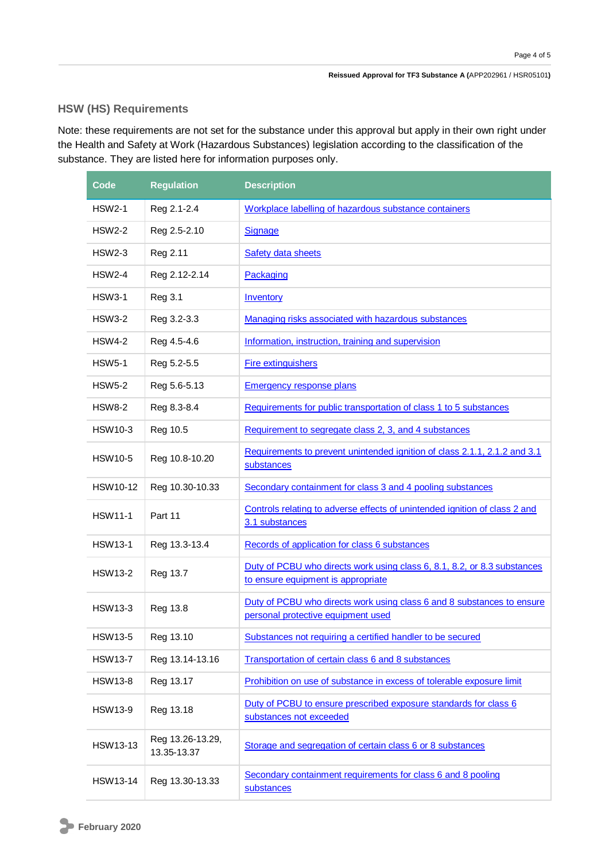### **HSW (HS) Requirements**

Note: these requirements are not set for the substance under this approval but apply in their own right under the Health and Safety at Work (Hazardous Substances) legislation according to the classification of the substance. They are listed here for information purposes only.

| Code            | <b>Regulation</b>               | <b>Description</b>                                                                                             |
|-----------------|---------------------------------|----------------------------------------------------------------------------------------------------------------|
| <b>HSW2-1</b>   | Reg 2.1-2.4                     | Workplace labelling of hazardous substance containers                                                          |
| <b>HSW2-2</b>   | Reg 2.5-2.10                    | Signage                                                                                                        |
| <b>HSW2-3</b>   | Reg 2.11                        | Safety data sheets                                                                                             |
| <b>HSW2-4</b>   | Reg 2.12-2.14                   | Packaging                                                                                                      |
| <b>HSW3-1</b>   | <b>Reg 3.1</b>                  | <b>Inventory</b>                                                                                               |
| <b>HSW3-2</b>   | Reg 3.2-3.3                     | Managing risks associated with hazardous substances                                                            |
| <b>HSW4-2</b>   | Reg 4.5-4.6                     | Information, instruction, training and supervision                                                             |
| <b>HSW5-1</b>   | Reg 5.2-5.5                     | <b>Fire extinguishers</b>                                                                                      |
| <b>HSW5-2</b>   | Reg 5.6-5.13                    | Emergency response plans                                                                                       |
| <b>HSW8-2</b>   | Reg 8.3-8.4                     | Requirements for public transportation of class 1 to 5 substances                                              |
| <b>HSW10-3</b>  | Reg 10.5                        | Requirement to segregate class 2, 3, and 4 substances                                                          |
| <b>HSW10-5</b>  | Reg 10.8-10.20                  | Requirements to prevent unintended ignition of class 2.1.1, 2.1.2 and 3.1<br>substances                        |
| <b>HSW10-12</b> | Reg 10.30-10.33                 | Secondary containment for class 3 and 4 pooling substances                                                     |
| <b>HSW11-1</b>  | Part 11                         | Controls relating to adverse effects of unintended ignition of class 2 and<br>3.1 substances                   |
| <b>HSW13-1</b>  | Reg 13.3-13.4                   | Records of application for class 6 substances                                                                  |
| <b>HSW13-2</b>  | Reg 13.7                        | Duty of PCBU who directs work using class 6, 8.1, 8.2, or 8.3 substances<br>to ensure equipment is appropriate |
| <b>HSW13-3</b>  | Reg 13.8                        | Duty of PCBU who directs work using class 6 and 8 substances to ensure<br>personal protective equipment used   |
| <b>HSW13-5</b>  | Reg 13.10                       | Substances not requiring a certified handler to be secured                                                     |
| <b>HSW13-7</b>  | Reg 13.14-13.16                 | Transportation of certain class 6 and 8 substances                                                             |
| <b>HSW13-8</b>  | Reg 13.17                       | Prohibition on use of substance in excess of tolerable exposure limit                                          |
| <b>HSW13-9</b>  | Reg 13.18                       | Duty of PCBU to ensure prescribed exposure standards for class 6<br>substances not exceeded                    |
| <b>HSW13-13</b> | Reg 13.26-13.29,<br>13.35-13.37 | Storage and segregation of certain class 6 or 8 substances                                                     |
| <b>HSW13-14</b> | Reg 13.30-13.33                 | Secondary containment requirements for class 6 and 8 pooling<br>substances                                     |